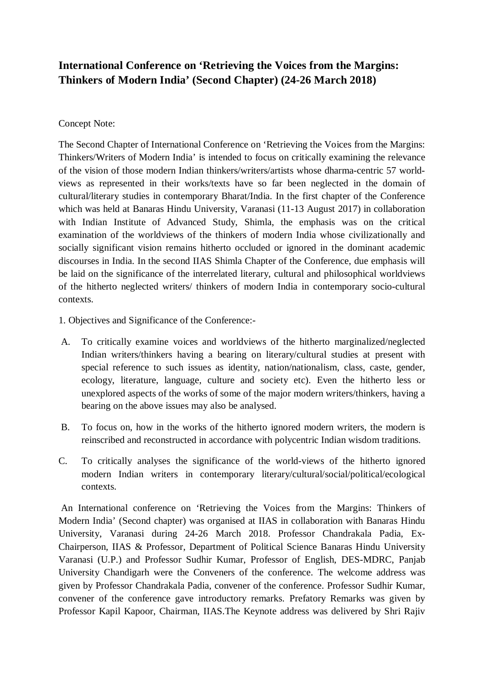## **International Conference on 'Retrieving the Voices from the Margins: Thinkers of Modern India' (Second Chapter) (24-26 March 2018)**

## Concept Note:

The Second Chapter of International Conference on 'Retrieving the Voices from the Margins: Thinkers/Writers of Modern India' is intended to focus on critically examining the relevance of the vision of those modern Indian thinkers/writers/artists whose dharma-centric 57 worldviews as represented in their works/texts have so far been neglected in the domain of cultural/literary studies in contemporary Bharat/India. In the first chapter of the Conference which was held at Banaras Hindu University, Varanasi (11-13 August 2017) in collaboration with Indian Institute of Advanced Study, Shimla, the emphasis was on the critical examination of the worldviews of the thinkers of modern India whose civilizationally and socially significant vision remains hitherto occluded or ignored in the dominant academic discourses in India. In the second IIAS Shimla Chapter of the Conference, due emphasis will be laid on the significance of the interrelated literary, cultural and philosophical worldviews of the hitherto neglected writers/ thinkers of modern India in contemporary socio-cultural contexts.

- 1. Objectives and Significance of the Conference:-
- A. To critically examine voices and worldviews of the hitherto marginalized/neglected Indian writers/thinkers having a bearing on literary/cultural studies at present with special reference to such issues as identity, nation/nationalism, class, caste, gender, ecology, literature, language, culture and society etc). Even the hitherto less or unexplored aspects of the works of some of the major modern writers/thinkers, having a bearing on the above issues may also be analysed.
- B. To focus on, how in the works of the hitherto ignored modern writers, the modern is reinscribed and reconstructed in accordance with polycentric Indian wisdom traditions.
- C. To critically analyses the significance of the world-views of the hitherto ignored modern Indian writers in contemporary literary/cultural/social/political/ecological contexts.

An International conference on 'Retrieving the Voices from the Margins: Thinkers of Modern India' (Second chapter) was organised at IIAS in collaboration with Banaras Hindu University, Varanasi during 24-26 March 2018. Professor Chandrakala Padia, Ex-Chairperson, IIAS & Professor, Department of Political Science Banaras Hindu University Varanasi (U.P.) and Professor Sudhir Kumar, Professor of English, DES-MDRC, Panjab University Chandigarh were the Conveners of the conference. The welcome address was given by Professor Chandrakala Padia, convener of the conference. Professor Sudhir Kumar, convener of the conference gave introductory remarks. Prefatory Remarks was given by Professor Kapil Kapoor, Chairman, IIAS.The Keynote address was delivered by Shri Rajiv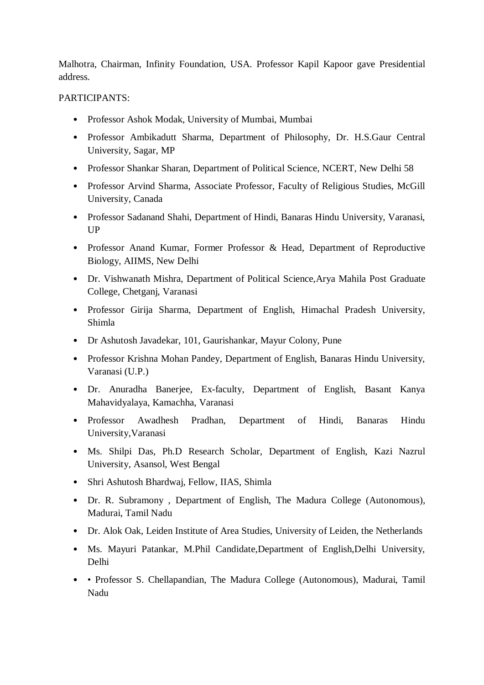Malhotra, Chairman, Infinity Foundation, USA. Professor Kapil Kapoor gave Presidential address.

## PARTICIPANTS:

- Professor Ashok Modak, University of Mumbai, Mumbai
- Professor Ambikadutt Sharma, Department of Philosophy, Dr. H.S.Gaur Central University, Sagar, MP
- Professor Shankar Sharan, Department of Political Science, NCERT, New Delhi 58
- Professor Arvind Sharma, Associate Professor, Faculty of Religious Studies, McGill University, Canada
- Professor Sadanand Shahi, Department of Hindi, Banaras Hindu University, Varanasi, **UP**
- Professor Anand Kumar, Former Professor & Head, Department of Reproductive Biology, AIIMS, New Delhi
- Dr. Vishwanath Mishra, Department of Political Science,Arya Mahila Post Graduate College, Chetganj, Varanasi
- Professor Girija Sharma, Department of English, Himachal Pradesh University, Shimla
- Dr Ashutosh Javadekar, 101, Gaurishankar, Mayur Colony, Pune
- Professor Krishna Mohan Pandey, Department of English, Banaras Hindu University, Varanasi (U.P.)
- Dr. Anuradha Banerjee, Ex-faculty, Department of English, Basant Kanya Mahavidyalaya, Kamachha, Varanasi
- Professor Awadhesh Pradhan, Department of Hindi, Banaras Hindu University,Varanasi
- Ms. Shilpi Das, Ph.D Research Scholar, Department of English, Kazi Nazrul University, Asansol, West Bengal
- Shri Ashutosh Bhardwaj, Fellow, IIAS, Shimla
- Dr. R. Subramony , Department of English, The Madura College (Autonomous), Madurai, Tamil Nadu
- Dr. Alok Oak, Leiden Institute of Area Studies, University of Leiden, the Netherlands
- Ms. Mayuri Patankar, M.Phil Candidate,Department of English,Delhi University, Delhi
- • Professor S. Chellapandian, The Madura College (Autonomous), Madurai, Tamil Nadu